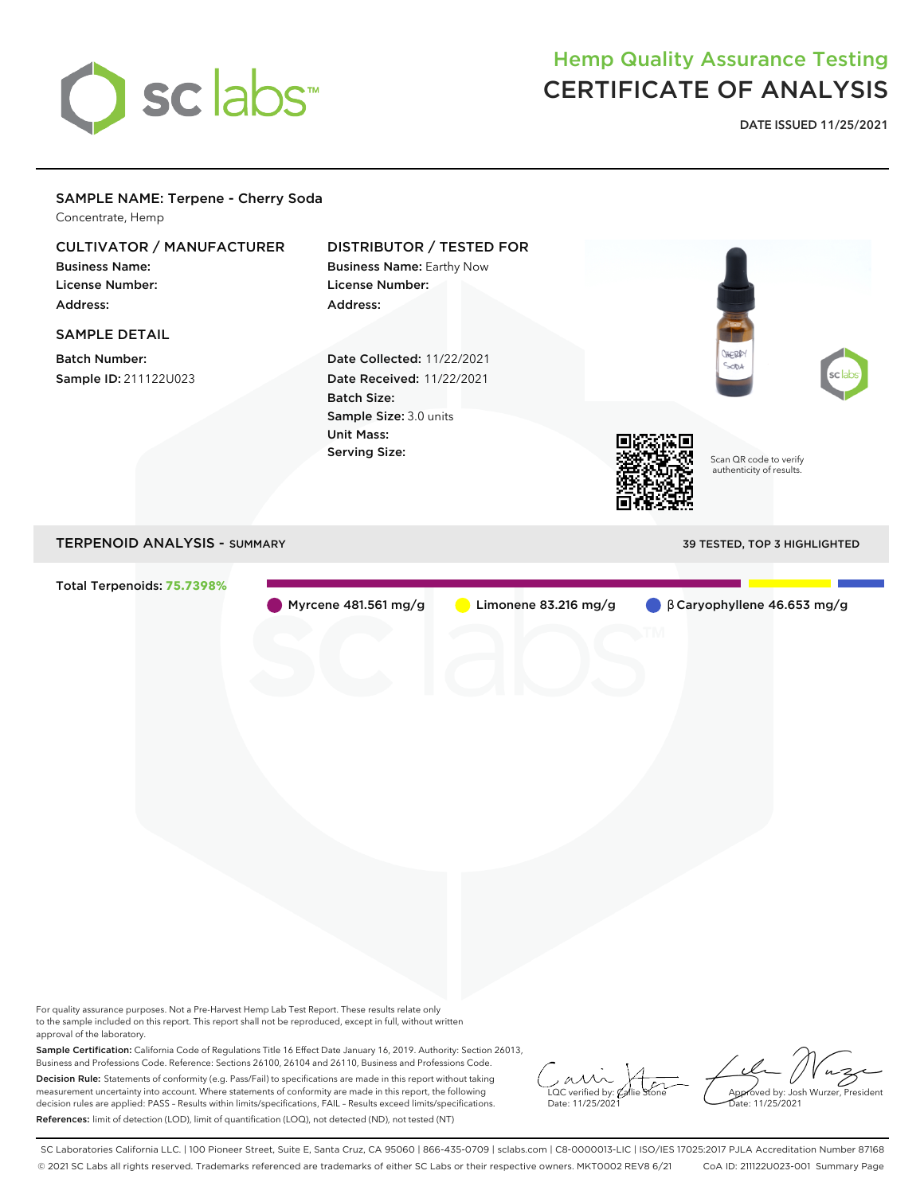

## Hemp Quality Assurance Testing CERTIFICATE OF ANALYSIS

**DATE ISSUED 11/25/2021**

### SAMPLE NAME: Terpene - Cherry Soda Concentrate, Hemp

## CULTIVATOR / MANUFACTURER

Business Name: License Number: Address:

## SAMPLE DETAIL

Batch Number: Sample ID: 211122U023

## DISTRIBUTOR / TESTED FOR

Business Name: Earthy Now License Number: Address:

Date Collected: 11/22/2021 Date Received: 11/22/2021 Batch Size: Sample Size: 3.0 units Unit Mass: Serving Size:



Scan QR code to verify authenticity of results.

HERRY

## TERPENOID ANALYSIS - SUMMARY 39 TESTED, TOP 3 HIGHLIGHTED

Total Terpenoids: **75.7398%**

Myrcene 481.561 mg/g Limonene 83.216 mg/g β Caryophyllene 46.653 mg/g

For quality assurance purposes. Not a Pre-Harvest Hemp Lab Test Report. These results relate only to the sample included on this report. This report shall not be reproduced, except in full, without written approval of the laboratory.

Sample Certification: California Code of Regulations Title 16 Effect Date January 16, 2019. Authority: Section 26013, Business and Professions Code. Reference: Sections 26100, 26104 and 26110, Business and Professions Code. Decision Rule: Statements of conformity (e.g. Pass/Fail) to specifications are made in this report without taking measurement uncertainty into account. Where statements of conformity are made in this report, the following decision rules are applied: PASS – Results within limits/specifications, FAIL – Results exceed limits/specifications. References: limit of detection (LOD), limit of quantification (LOQ), not detected (ND), not tested (NT)

 $\overline{\text{LOC}}$  verified by:  $\mathcal C$ Date: 11/25/2021

Approved by: Josh Wurzer, President ate: 11/25/2021

SC Laboratories California LLC. | 100 Pioneer Street, Suite E, Santa Cruz, CA 95060 | 866-435-0709 | sclabs.com | C8-0000013-LIC | ISO/IES 17025:2017 PJLA Accreditation Number 87168 © 2021 SC Labs all rights reserved. Trademarks referenced are trademarks of either SC Labs or their respective owners. MKT0002 REV8 6/21 CoA ID: 211122U023-001 Summary Page